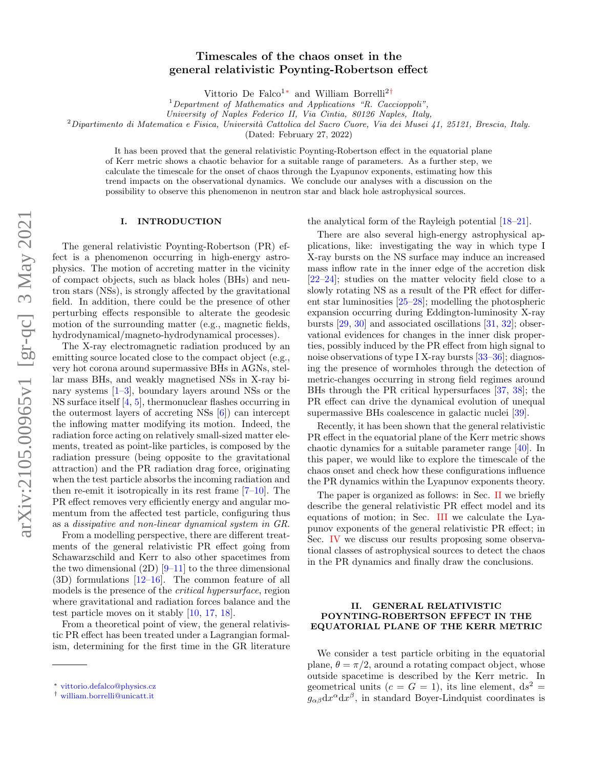# Timescales of the chaos onset in the general relativistic Poynting-Robertson effect

Vittorio De Falco1[∗](#page-0-0) and William Borrelli2[†](#page-0-1)

 $1$ Department of Mathematics and Applications "R. Caccioppoli",

University of Naples Federico II, Via Cintia, 80126 Naples, Italy,

 $2$ Dipartimento di Matematica e Fisica, Università Cattolica del Sacro Cuore, Via dei Musei 41, 25121, Brescia, Italy.

(Dated: February 27, 2022)

It has been proved that the general relativistic Poynting-Robertson effect in the equatorial plane of Kerr metric shows a chaotic behavior for a suitable range of parameters. As a further step, we calculate the timescale for the onset of chaos through the Lyapunov exponents, estimating how this trend impacts on the observational dynamics. We conclude our analyses with a discussion on the possibility to observe this phenomenon in neutron star and black hole astrophysical sources.

## I. INTRODUCTION

The general relativistic Poynting-Robertson (PR) effect is a phenomenon occurring in high-energy astrophysics. The motion of accreting matter in the vicinity of compact objects, such as black holes (BHs) and neutron stars (NSs), is strongly affected by the gravitational field. In addition, there could be the presence of other perturbing effects responsible to alterate the geodesic motion of the surrounding matter (e.g., magnetic fields, hydrodynamical/magneto-hydrodynamical processes).

The X-ray electromagnetic radiation produced by an emitting source located close to the compact object (e.g., very hot corona around supermassive BHs in AGNs, stellar mass BHs, and weakly magnetised NSs in X-ray binary systems [\[1–](#page-6-0)[3\]](#page-6-1), boundary layers around NSs or the NS surface itself [\[4,](#page-6-2) [5\]](#page-6-3), thermonuclear flashes occurring in the outermost layers of accreting NSs [\[6\]](#page-6-4)) can intercept the inflowing matter modifying its motion. Indeed, the radiation force acting on relatively small-sized matter elements, treated as point-like particles, is composed by the radiation pressure (being opposite to the gravitational attraction) and the PR radiation drag force, originating when the test particle absorbs the incoming radiation and then re-emit it isotropically in its rest frame [\[7–](#page-6-5)[10\]](#page-6-6). The PR effect removes very efficiently energy and angular momentum from the affected test particle, configuring thus as a dissipative and non-linear dynamical system in GR.

From a modelling perspective, there are different treatments of the general relativistic PR effect going from Schawarzschild and Kerr to also other spacetimes from the two dimensional  $(2D)$  [\[9–](#page-6-7)[11\]](#page-6-8) to the three dimensional  $(3D)$  formulations  $[12-16]$  $[12-16]$ . The common feature of all models is the presence of the critical hypersurface, region where gravitational and radiation forces balance and the test particle moves on it stably [\[10,](#page-6-6) [17,](#page-6-11) [18\]](#page-6-12).

From a theoretical point of view, the general relativistic PR effect has been treated under a Lagrangian formalism, determining for the first time in the GR literature the analytical form of the Rayleigh potential [\[18–](#page-6-12)[21\]](#page-6-13).

There are also several high-energy astrophysical applications, like: investigating the way in which type I X-ray bursts on the NS surface may induce an increased mass inflow rate in the inner edge of the accretion disk [\[22–](#page-6-14)[24\]](#page-6-15); studies on the matter velocity field close to a slowly rotating NS as a result of the PR effect for different star luminosities [\[25–](#page-6-16)[28\]](#page-6-17); modelling the photospheric expansion occurring during Eddington-luminosity X-ray bursts [\[29,](#page-6-18) [30\]](#page-6-19) and associated oscillations [\[31,](#page-6-20) [32\]](#page-6-21); observational evidences for changes in the inner disk properties, possibly induced by the PR effect from high signal to noise observations of type I X-ray bursts [\[33–](#page-6-22)[36\]](#page-6-23); diagnosing the presence of wormholes through the detection of metric-changes occurring in strong field regimes around BHs through the PR critical hypersurfaces [\[37,](#page-6-24) [38\]](#page-6-25); the PR effect can drive the dynamical evolution of unequal supermassive BHs coalescence in galactic nuclei [\[39\]](#page-7-0).

Recently, it has been shown that the general relativistic PR effect in the equatorial plane of the Kerr metric shows chaotic dynamics for a suitable parameter range [\[40\]](#page-7-1). In this paper, we would like to explore the timescale of the chaos onset and check how these configurations influence the PR dynamics within the Lyapunov exponents theory.

The paper is organized as follows: in Sec. [II](#page-0-2) we briefly describe the general relativistic PR effect model and its equations of motion; in Sec. [III](#page-1-0) we calculate the Lyapunov exponents of the general relativistic PR effect; in Sec. [IV](#page-4-0) we discuss our results proposing some observational classes of astrophysical sources to detect the chaos in the PR dynamics and finally draw the conclusions.

## <span id="page-0-2"></span>II. GENERAL RELATIVISTIC POYNTING-ROBERTSON EFFECT IN THE EQUATORIAL PLANE OF THE KERR METRIC

We consider a test particle orbiting in the equatorial plane,  $\theta = \pi/2$ , around a rotating compact object, whose outside spacetime is described by the Kerr metric. In geometrical units  $(c = G = 1)$ , its line element,  $ds^2 =$  $g_{\alpha\beta}dx^{\alpha}dx^{\beta}$ , in standard Boyer-Lindquist coordinates is

<span id="page-0-0"></span><sup>∗</sup> [vittorio.defalco@physics.cz](mailto:vittorio.defalco@physics.cz)

<span id="page-0-1"></span><sup>†</sup> [william.borrelli@unicatt.it](mailto:william.borrelli@unicatt.it)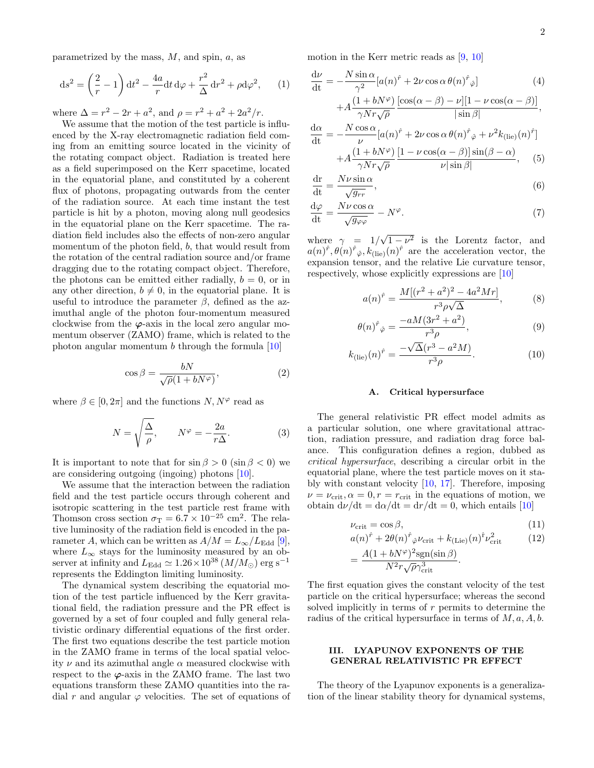parametrized by the mass,  $M$ , and spin,  $a$ , as

$$
ds2 = \left(\frac{2}{r} - 1\right) dt2 - \frac{4a}{r} dt d\varphi + \frac{r2}{\Delta} dr2 + \rho d\varphi2,
$$
 (1)

where  $\Delta = r^2 - 2r + a^2$ , and  $\rho = r^2 + a^2 + 2a^2/r$ .

We assume that the motion of the test particle is influenced by the X-ray electromagnetic radiation field coming from an emitting source located in the vicinity of the rotating compact object. Radiation is treated here as a field superimposed on the Kerr spacetime, located in the equatorial plane, and constituted by a coherent flux of photons, propagating outwards from the center of the radiation source. At each time instant the test particle is hit by a photon, moving along null geodesics in the equatorial plane on the Kerr spacetime. The radiation field includes also the effects of non-zero angular momentum of the photon field, b, that would result from the rotation of the central radiation source and/or frame dragging due to the rotating compact object. Therefore, the photons can be emitted either radially,  $b = 0$ , or in any other direction,  $b \neq 0$ , in the equatorial plane. It is useful to introduce the parameter  $\beta$ , defined as the azimuthal angle of the photon four-momentum measured clockwise from the  $\varphi$ -axis in the local zero angular momentum observer (ZAMO) frame, which is related to the photon angular momentum b through the formula [\[10\]](#page-6-6)

$$
\cos \beta = \frac{bN}{\sqrt{\rho}(1 + bN^{\varphi})},\tag{2}
$$

where  $\beta \in [0, 2\pi]$  and the functions  $N, N^{\varphi}$  read as

$$
N = \sqrt{\frac{\Delta}{\rho}}, \qquad N^{\varphi} = -\frac{2a}{r\Delta}.
$$
 (3)

It is important to note that for  $\sin \beta > 0$  ( $\sin \beta < 0$ ) we are considering outgoing (ingoing) photons [\[10\]](#page-6-6).

We assume that the interaction between the radiation field and the test particle occurs through coherent and isotropic scattering in the test particle rest frame with Thomson cross section  $\sigma_T = 6.7 \times 10^{-25}$  cm<sup>2</sup>. The relative luminosity of the radiation field is encoded in the parameter A, which can be written as  $A/M = L_{\infty}/L_{\text{Edd}}$  [\[9\]](#page-6-7), where  $L_{\infty}$  stays for the luminosity measured by an observer at infinity and  $L_{\text{Edd}} \simeq 1.26 \times 10^{38} (M/M_{\odot}) \text{ erg s}^{-1}$ represents the Eddington limiting luminosity.

The dynamical system describing the equatorial motion of the test particle influenced by the Kerr gravitational field, the radiation pressure and the PR effect is governed by a set of four coupled and fully general relativistic ordinary differential equations of the first order. The first two equations describe the test particle motion in the ZAMO frame in terms of the local spatial velocity  $\nu$  and its azimuthal angle  $\alpha$  measured clockwise with respect to the  $\varphi$ -axis in the ZAMO frame. The last two equations transform these ZAMO quantities into the radial r and angular  $\varphi$  velocities. The set of equations of motion in the Kerr metric reads as  $[9, 10]$  $[9, 10]$  $[9, 10]$ 

<span id="page-1-1"></span>
$$
\frac{d\nu}{dt} = -\frac{N \sin \alpha}{\gamma^2} [a(n)^{\hat{r}} + 2\nu \cos \alpha \theta(n)^{\hat{r}} \hat{\varphi}]
$$
(4)  
+  $A \frac{(1 + bN^{\varphi}) [\cos(\alpha - \beta) - \nu][1 - \nu \cos(\alpha - \beta)]}{\gamma N r \sqrt{\rho}}$   

$$
\frac{d\alpha}{dt} = -\frac{N \cos \alpha}{\nu} [a(n)^{\hat{r}} + 2\nu \cos \alpha \theta(n)^{\hat{r}} \hat{\varphi} + \nu^2 k_{\text{(lie)}}(n)^{\hat{r}}]
$$

$$
+ A \frac{(1 + bN^{\varphi})}{\gamma N r \sqrt{\rho}} \frac{[1 - \nu \cos(\alpha - \beta)] \sin(\beta - \alpha)}{\nu |\sin \beta|}, \quad (5)
$$

$$
\frac{\mathrm{d}\mathbf{r}}{\mathrm{d}\mathbf{t}} = \frac{N\nu\sin\alpha}{\sqrt{g_{rr}}},\tag{6}
$$

$$
\frac{d\varphi}{dt} = \frac{N\nu\cos\alpha}{\sqrt{g_{\varphi\varphi}}} - N^{\varphi}.
$$
\n(7)

where  $\gamma = 1/$ √  $1 - \nu^2$  is the Lorentz factor, and  $a(n)^{\hat{r}}, \theta(n)^{\hat{r}}\hat{\varphi}, k_{\text{(lie)}}(n)^{\hat{r}}$  are the acceleration vector, the expansion tensor, and the relative Lie curvature tensor, respectively, whose explicitly expressions are [\[10\]](#page-6-6)

$$
a(n)^{\hat{r}} = \frac{M[(r^2 + a^2)^2 - 4a^2Mr]}{r^3 \rho \sqrt{\Delta}},
$$
 (8)

$$
\theta(n)^{\hat{r}}_{\hat{\varphi}} = \frac{-aM(3r^2 + a^2)}{r^3 \rho},\tag{9}
$$

$$
k_{\text{(lie)}}(n)^{\hat{r}} = \frac{-\sqrt{\Delta}(r^3 - a^2M)}{r^3\rho}.
$$
\n(10)

## A. Critical hypersurface

The general relativistic PR effect model admits as a particular solution, one where gravitational attraction, radiation pressure, and radiation drag force balance. This configuration defines a region, dubbed as critical hypersurface, describing a circular orbit in the equatorial plane, where the test particle moves on it stably with constant velocity [\[10,](#page-6-6) [17\]](#page-6-11). Therefore, imposing  $\nu = \nu_{\rm crit}, \alpha = 0, r = r_{\rm crit}$  in the equations of motion, we obtain  $d\nu/dt = d\alpha/dt = dr/dt = 0$ , which entails [\[10\]](#page-6-6)

<span id="page-1-2"></span>
$$
\nu_{\rm crit} = \cos \beta, \tag{11}
$$

$$
a(n)^{\hat{r}} + 2\theta(n)^{\hat{r}}{}_{\hat{\varphi}}\nu_{\rm crit} + k_{\text{(Lie)}}(n)^{\hat{r}}\nu_{\rm crit}^2 \tag{12}
$$

$$
= \frac{A(1+bN^{\varphi})^2 \text{sgn}(\sin \beta)}{N^2 r \sqrt{\rho} \gamma_{\text{crit}}^3}.
$$

The first equation gives the constant velocity of the test particle on the critical hypersurface; whereas the second solved implicitly in terms of  $r$  permits to determine the radius of the critical hypersurface in terms of  $M, a, A, b$ .

# <span id="page-1-0"></span>III. LYAPUNOV EXPONENTS OF THE GENERAL RELATIVISTIC PR EFFECT

The theory of the Lyapunov exponents is a generalization of the linear stability theory for dynamical systems,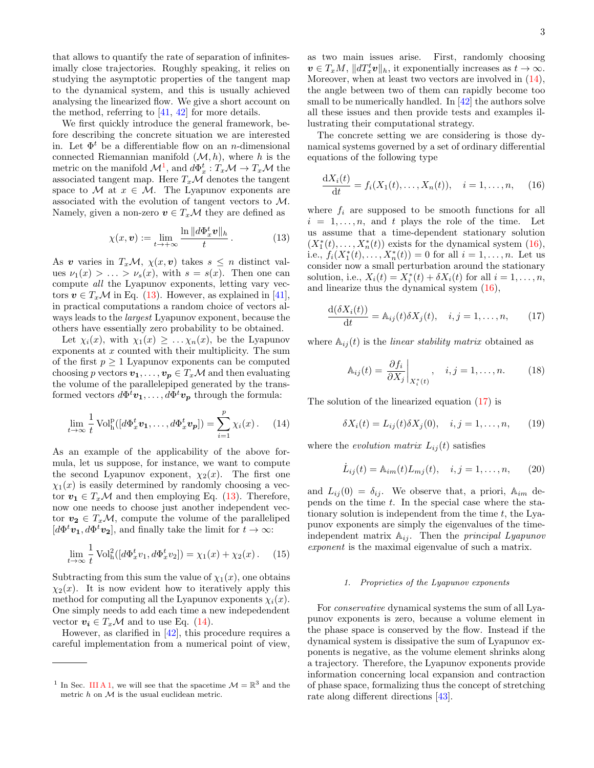that allows to quantify the rate of separation of infinitesimally close trajectories. Roughly speaking, it relies on studying the asymptotic properties of the tangent map to the dynamical system, and this is usually achieved analysing the linearized flow. We give a short account on the method, referring to  $[41, 42]$  $[41, 42]$  $[41, 42]$  for more details.

We first quickly introduce the general framework, before describing the concrete situation we are interested in. Let  $\Phi^t$  be a differentiable flow on an *n*-dimensional connected Riemannian manifold  $(\mathcal{M}, h)$ , where h is the metric on the manifold  $\mathcal{M}^1$  $\mathcal{M}^1$ , and  $d\Phi_x^t : T_x\mathcal{M} \to T_x\mathcal{M}$  the associated tangent map. Here  $T_x\mathcal{M}$  denotes the tangent space to M at  $x \in M$ . The Lyapunov exponents are associated with the evolution of tangent vectors to M. Namely, given a non-zero  $v \in T_x\mathcal{M}$  they are defined as

<span id="page-2-1"></span>
$$
\chi(x, \mathbf{v}) := \lim_{t \to +\infty} \frac{\ln \|d\Phi_x^t \mathbf{v}\|_h}{t} \,. \tag{13}
$$

As v varies in  $T_x\mathcal{M}, \chi(x, v)$  takes  $s \leq n$  distinct values  $\nu_1(x) > \ldots > \nu_s(x)$ , with  $s = s(x)$ . Then one can compute all the Lyapunov exponents, letting vary vectors  $v \in T_x\mathcal{M}$  in Eq. [\(13\)](#page-2-1). However, as explained in [\[41\]](#page-7-2), in practical computations a random choice of vectors always leads to the largest Lyapunov exponent, because the others have essentially zero probability to be obtained.

Let  $\chi_i(x)$ , with  $\chi_1(x) \geq \ldots \chi_n(x)$ , be the Lyapunov exponents at  $x$  counted with their multiplicity. The sum of the first  $p \geq 1$  Lyapunov exponents can be computed choosing p vectors  $v_1, \ldots, v_p \in T_x\mathcal{M}$  and then evaluating the volume of the parallelepiped generated by the transformed vectors  $d\Phi^t \mathbf{v_1}, \ldots, d\Phi^t \mathbf{v_p}$  through the formula:

<span id="page-2-2"></span>
$$
\lim_{t \to \infty} \frac{1}{t} \operatorname{Vol}^{\mathbf{p}}_{\mathbf{h}}([d\Phi_x^t \mathbf{v}_1, \dots, d\Phi_x^t \mathbf{v}_p]) = \sum_{i=1}^p \chi_i(x). \tag{14}
$$

As an example of the applicability of the above formula, let us suppose, for instance, we want to compute the second Lyapunov exponent,  $\chi_2(x)$ . The first one  $\chi_1(x)$  is easily determined by randomly choosing a vector  $v_1 \in T_x\mathcal{M}$  and then employing Eq. [\(13\)](#page-2-1). Therefore, now one needs to choose just another independent vector  $v_2 \in T_x\mathcal{M}$ , compute the volume of the paralleliped  $[d\Phi^t \mathbf{v_1}, d\Phi^t \mathbf{v_2}]$ , and finally take the limit for  $t \to \infty$ :

$$
\lim_{t \to \infty} \frac{1}{t} \operatorname{Vol}_{h}^{2}([d\Phi_{x}^{t} v_{1}, d\Phi_{x}^{t} v_{2}]) = \chi_{1}(x) + \chi_{2}(x). \tag{15}
$$

Subtracting from this sum the value of  $\chi_1(x)$ , one obtains  $\chi_2(x)$ . It is now evident how to iteratively apply this method for computing all the Lyapunov exponents  $\chi_i(x)$ . One simply needs to add each time a new indepedendent vector  $v_i \in T_x\mathcal{M}$  and to use Eq. [\(14\)](#page-2-2).

However, as clarified in [\[42\]](#page-7-3), this procedure requires a careful implementation from a numerical point of view,

as two main issues arise. First, randomly choosing  $\mathbf{v} \in T_xM$ ,  $||dT_x^t \mathbf{v}||_h$ , it exponentially increases as  $t \to \infty$ . Moreover, when at least two vectors are involved in  $(14)$ , the angle between two of them can rapidly become too small to be numerically handled. In [\[42\]](#page-7-3) the authors solve all these issues and then provide tests and examples illustrating their computational strategy.

The concrete setting we are considering is those dynamical systems governed by a set of ordinary differential equations of the following type

<span id="page-2-3"></span>
$$
\frac{dX_i(t)}{dt} = f_i(X_1(t), \dots, X_n(t)), \quad i = 1, \dots, n,
$$
 (16)

where  $f_i$  are supposed to be smooth functions for all  $i = 1, \ldots, n$ , and t plays the role of the time. Let us assume that a time-dependent stationary solution  $(X_1^*(t),...,X_n^*(t))$  exists for the dynamical system [\(16\)](#page-2-3), i.e.,  $f_i(X_1^*(t),...,X_n^*(t)) = 0$  for all  $i = 1,...,n$ . Let us consider now a small perturbation around the stationary solution, i.e.,  $X_i(t) = X_i^*(t) + \delta X_i(t)$  for all  $i = 1, \ldots, n$ , and linearize thus the dynamical system [\(16\)](#page-2-3),

<span id="page-2-4"></span>
$$
\frac{\mathrm{d}(\delta X_i(t))}{\mathrm{d}t} = \mathbb{A}_{ij}(t)\delta X_j(t), \quad i, j = 1, \dots, n,
$$
 (17)

where  $\mathbb{A}_{ij}(t)$  is the *linear stability matrix* obtained as

$$
\mathbb{A}_{ij}(t) = \left. \frac{\partial f_i}{\partial X_j} \right|_{X_i^*(t)}, \quad i, j = 1, \dots, n. \tag{18}
$$

The solution of the linearized equation [\(17\)](#page-2-4) is

$$
\delta X_i(t) = L_{ij}(t) \delta X_j(0), \quad i, j = 1, \dots, n,
$$
 (19)

where the *evolution matrix*  $L_{ij}(t)$  satisfies

$$
\dot{L}_{ij}(t) = \mathbb{A}_{im}(t)L_{mj}(t), \quad i, j = 1, ..., n,
$$
 (20)

and  $L_{ij}(0) = \delta_{ij}$ . We observe that, a priori,  $\mathbb{A}_{im}$  depends on the time t. In the special case where the stationary solution is independent from the time  $t$ , the Lyapunov exponents are simply the eigenvalues of the timeindependent matrix  $A_{ij}$ . Then the *principal Lyapunov* exponent is the maximal eigenvalue of such a matrix.

## 1. Proprieties of the Lyapunov exponents

For conservative dynamical systems the sum of all Lyapunov exponents is zero, because a volume element in the phase space is conserved by the flow. Instead if the dynamical system is dissipative the sum of Lyapunov exponents is negative, as the volume element shrinks along a trajectory. Therefore, the Lyapunov exponents provide information concerning local expansion and contraction of phase space, formalizing thus the concept of stretching rate along different directions [\[43\]](#page-7-4).

<span id="page-2-0"></span><sup>&</sup>lt;sup>1</sup> In Sec. [III A 1,](#page-3-0) we will see that the spacetime  $\mathcal{M} = \mathbb{R}^3$  and the metric  $h$  on  $M$  is the usual euclidean metric.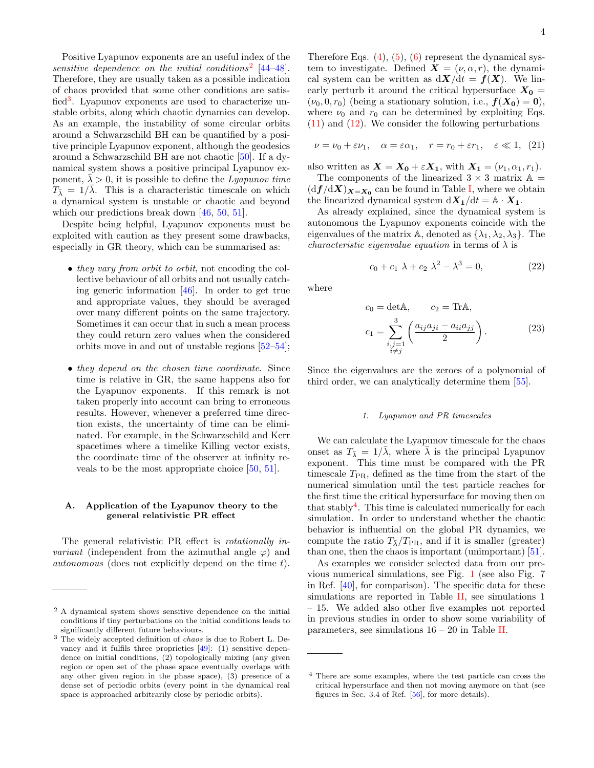Positive Lyapunov exponents are an useful index of the sensitive dependence on the initial conditions<sup>[2](#page-3-1)</sup>  $[44-48]$  $[44-48]$ . Therefore, they are usually taken as a possible indication of chaos provided that some other conditions are satis-fied<sup>[3](#page-3-2)</sup>. Lyapunov exponents are used to characterize unstable orbits, along which chaotic dynamics can develop. As an example, the instability of some circular orbits around a Schwarzschild BH can be quantified by a positive principle Lyapunov exponent, although the geodesics around a Schwarzschild BH are not chaotic [\[50\]](#page-7-7). If a dynamical system shows a positive principal Lyapunov exponent,  $\lambda > 0$ , it is possible to define the Lyapunov time  $T_{\overline{\lambda}} = 1/\overline{\lambda}$ . This is a characteristic timescale on which a dynamical system is unstable or chaotic and beyond which our predictions break down [\[46,](#page-7-8) [50,](#page-7-7) [51\]](#page-7-9).

Despite being helpful, Lyapunov exponents must be exploited with caution as they present some drawbacks, especially in GR theory, which can be summarised as:

- *they vary from orbit to orbit*, not encoding the collective behaviour of all orbits and not usually catching generic information [\[46\]](#page-7-8). In order to get true and appropriate values, they should be averaged over many different points on the same trajectory. Sometimes it can occur that in such a mean process they could return zero values when the considered orbits move in and out of unstable regions [\[52–](#page-7-10)[54\]](#page-7-11);
- they depend on the chosen time coordinate. Since time is relative in GR, the same happens also for the Lyapunov exponents. If this remark is not taken properly into account can bring to erroneous results. However, whenever a preferred time direction exists, the uncertainty of time can be eliminated. For example, in the Schwarzschild and Kerr spacetimes where a timelike Killing vector exists, the coordinate time of the observer at infinity reveals to be the most appropriate choice [\[50,](#page-7-7) [51\]](#page-7-9).

# A. Application of the Lyapunov theory to the general relativistic PR effect

The general relativistic PR effect is rotationally in*variant* (independent from the azimuthal angle  $\varphi$ ) and autonomous (does not explicitly depend on the time t). Therefore Eqs.  $(4)$ ,  $(5)$ ,  $(6)$  represent the dynamical system to investigate. Defined  $\mathbf{X} = (\nu, \alpha, r)$ , the dynamical system can be written as  $d\mathbf{X}/dt = \mathbf{f}(\mathbf{X})$ . We linearly perturb it around the critical hypersurface  $X_0 =$  $(\nu_0, 0, r_0)$  (being a stationary solution, i.e.,  $f(X_0) = 0$ ), where  $\nu_0$  and  $r_0$  can be determined by exploiting Eqs. [\(11\)](#page-1-2) and [\(12\)](#page-1-2). We consider the following perturbations

<span id="page-3-4"></span>
$$
\nu = \nu_0 + \varepsilon \nu_1, \quad \alpha = \varepsilon \alpha_1, \quad r = r_0 + \varepsilon r_1, \quad \varepsilon \ll 1, \tag{21}
$$

also written as  $\mathbf{X} = \mathbf{X_0} + \varepsilon \mathbf{X_1}$ , with  $\mathbf{X_1} = (\nu_1, \alpha_1, r_1)$ .

The components of the linearized  $3 \times 3$  matrix  $\mathbb{A} =$  $(\mathrm{d}f/\mathrm{d}X)_{X=X_0}$  can be found in Table [I,](#page-8-0) where we obtain the linearized dynamical system  $dX_1/dt = A \cdot X_1$ .

As already explained, since the dynamical system is autonomous the Lyapunov exponents coincide with the eigenvalues of the matrix A, denoted as  $\{\lambda_1, \lambda_2, \lambda_3\}$ . The characteristic eigenvalue equation in terms of  $\lambda$  is

$$
c_0 + c_1 \lambda + c_2 \lambda^2 - \lambda^3 = 0, \tag{22}
$$

where

$$
c_0 = \det \mathbb{A}, \qquad c_2 = \text{Tr} \mathbb{A},
$$
  
\n
$$
c_1 = \sum_{\substack{i,j=1 \ i \neq j}}^{3} \left( \frac{a_{ij} a_{ji} - a_{ii} a_{jj}}{2} \right).
$$
 (23)

Since the eigenvalues are the zeroes of a polynomial of third order, we can analytically determine them [\[55\]](#page-7-13).

#### <span id="page-3-0"></span>1. Lyapunov and PR timescales

We can calculate the Lyapunov timescale for the chaos onset as  $T_{\overline{\lambda}} = 1/\lambda$ , where  $\lambda$  is the principal Lyapunov exponent. This time must be compared with the PR timescale  $T_{PR}$ , defined as the time from the start of the numerical simulation until the test particle reaches for the first time the critical hypersurface for moving then on that stably<sup>[4](#page-3-3)</sup>. This time is calculated numerically for each simulation. In order to understand whether the chaotic behavior is influential on the global PR dynamics, we compute the ratio  $T_{\overline{\lambda}}/T_{\text{PR}}$ , and if it is smaller (greater) than one, then the chaos is important (unimportant) [\[51\]](#page-7-9).

As examples we consider selected data from our previous numerical simulations, see Fig. [1](#page-4-1) (see also Fig. 7 in Ref. [\[40\]](#page-7-1), for comparison). The specific data for these simulations are reported in Table [II,](#page-9-0) see simulations 1 – 15. We added also other five examples not reported in previous studies in order to show some variability of parameters, see simulations  $16 - 20$  in Table [II.](#page-9-0)

<span id="page-3-1"></span><sup>2</sup> A dynamical system shows sensitive dependence on the initial conditions if tiny perturbations on the initial conditions leads to significantly different future behaviours.

<span id="page-3-2"></span><sup>3</sup> The widely accepted definition of chaos is due to Robert L. Devaney and it fulfils three proprieties [\[49\]](#page-7-12): (1) sensitive dependence on initial conditions, (2) topologically mixing (any given region or open set of the phase space eventually overlaps with any other given region in the phase space), (3) presence of a dense set of periodic orbits (every point in the dynamical real space is approached arbitrarily close by periodic orbits).

<span id="page-3-3"></span><sup>4</sup> There are some examples, where the test particle can cross the critical hypersurface and then not moving anymore on that (see figures in Sec. 3.4 of Ref. [\[56\]](#page-7-14), for more details).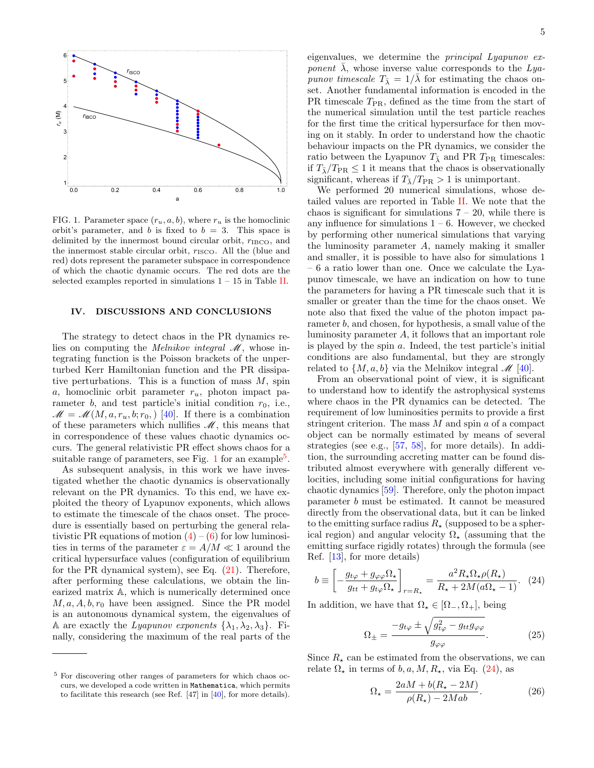

<span id="page-4-1"></span>FIG. 1. Parameter space  $(r_u, a, b)$ , where  $r_u$  is the homoclinic orbit's parameter, and b is fixed to  $b = 3$ . This space is delimited by the innermost bound circular orbit,  $r_{\text{IBCO}}$ , and the innermost stable circular orbit,  $r_{\text{ISCO}}$ . All the (blue and red) dots represent the parameter subspace in correspondence of which the chaotic dynamic occurs. The red dots are the selected examples reported in simulations  $1 - 15$  in Table [II.](#page-9-0)

### <span id="page-4-0"></span>IV. DISCUSSIONS AND CONCLUSIONS

The strategy to detect chaos in the PR dynamics relies on computing the *Melnikov integral*  $\mathcal{M}$ , whose integrating function is the Poisson brackets of the unperturbed Kerr Hamiltonian function and the PR dissipative perturbations. This is a function of mass  $M$ , spin a, homoclinic orbit parameter  $r_u$ , photon impact parameter b, and test particle's initial condition  $r_0$ , i.e.,  $\mathscr{M} = \mathscr{M}(M, a, r_u, b; r_0)$  [\[40\]](#page-7-1). If there is a combination of these parameters which nullifies  $\mathcal{M}$ , this means that in correspondence of these values chaotic dynamics occurs. The general relativistic PR effect shows chaos for a suitable range of parameters, see Fig. [1](#page-4-1) for an example<sup>[5](#page-4-2)</sup>.

As subsequent analysis, in this work we have investigated whether the chaotic dynamics is observationally relevant on the PR dynamics. To this end, we have exploited the theory of Lyapunov exponents, which allows to estimate the timescale of the chaos onset. The procedure is essentially based on perturbing the general relativistic PR equations of motion  $(4) - (6)$  $(4) - (6)$  $(4) - (6)$  for low luminosities in terms of the parameter  $\varepsilon = A/M \ll 1$  around the critical hypersurface values (configuration of equilibrium for the PR dynamical system), see Eq. [\(21\)](#page-3-4). Therefore, after performing these calculations, we obtain the linearized matrix A, which is numerically determined once  $M, a, A, b, r_0$  have been assigned. Since the PR model is an autonomous dynamical system, the eigenvalues of A are exactly the Lyapunov exponents  $\{\lambda_1, \lambda_2, \lambda_3\}$ . Finally, considering the maximum of the real parts of the

eigenvalues, we determine the principal Lyapunov exponent  $\overline{\lambda}$ , whose inverse value corresponds to the Lyapunov timescale  $T_{\overline{\lambda}} = 1/\overline{\lambda}$  for estimating the chaos onset. Another fundamental information is encoded in the PR timescale  $T_{PR}$ , defined as the time from the start of the numerical simulation until the test particle reaches for the first time the critical hypersurface for then moving on it stably. In order to understand how the chaotic behaviour impacts on the PR dynamics, we consider the ratio between the Lyapunov  $T_{\overline{\lambda}}$  and PR  $T_{PR}$  timescales: if  $T_{\overline{\lambda}}/T_{\text{PR}} \leq 1$  it means that the chaos is observationally significant, whereas if  $T_{\overline{\lambda}}/T_{\text{PR}} > 1$  is unimportant.

We performed 20 numerical simulations, whose detailed values are reported in Table [II.](#page-9-0) We note that the chaos is significant for simulations  $7 - 20$ , while there is any influence for simulations  $1 - 6$ . However, we checked by performing other numerical simulations that varying the luminosity parameter  $A$ , namely making it smaller and smaller, it is possible to have also for simulations 1 – 6 a ratio lower than one. Once we calculate the Lyapunov timescale, we have an indication on how to tune the parameters for having a PR timescale such that it is smaller or greater than the time for the chaos onset. We note also that fixed the value of the photon impact parameter b, and chosen, for hypothesis, a small value of the luminosity parameter A, it follows that an important role is played by the spin a. Indeed, the test particle's initial conditions are also fundamental, but they are strongly related to  $\{M, a, b\}$  via the Melnikov integral  $\mathcal{M}$  [\[40\]](#page-7-1).

From an observational point of view, it is significant to understand how to identify the astrophysical systems where chaos in the PR dynamics can be detected. The requirement of low luminosities permits to provide a first stringent criterion. The mass  $M$  and spin  $a$  of a compact object can be normally estimated by means of several strategies (see e.g., [\[57,](#page-7-15) [58\]](#page-7-16), for more details). In addition, the surrounding accreting matter can be found distributed almost everywhere with generally different velocities, including some initial configurations for having chaotic dynamics [\[59\]](#page-7-17). Therefore, only the photon impact parameter b must be estimated. It cannot be measured directly from the observational data, but it can be linked to the emitting surface radius  $R_{\star}$  (supposed to be a spherical region) and angular velocity  $\Omega_{\star}$  (assuming that the emitting surface rigidly rotates) through the formula (see Ref. [\[13\]](#page-6-26), for more details)

<span id="page-4-3"></span>
$$
b \equiv \left[ -\frac{g_{t\varphi} + g_{\varphi\varphi} \Omega_{\star}}{g_{tt} + g_{t\varphi} \Omega_{\star}} \right]_{r=R_{\star}} = \frac{a^2 R_{\star} \Omega_{\star} \rho(R_{\star})}{R_{\star} + 2M(a\Omega_{\star} - 1)}.
$$
 (24)

In addition, we have that  $\Omega_{\star} \in [\Omega_-, \Omega_+]$ , being

$$
\Omega_{\pm} = \frac{-g_{t\varphi} \pm \sqrt{g_{t\varphi}^2 - g_{tt}g_{\varphi\varphi}}}{g_{\varphi\varphi}}.\tag{25}
$$

Since  $R_{\star}$  can be estimated from the observations, we can relate  $\Omega_{\star}$  in terms of b, a, M, R<sub> $_{\star}$ </sub>, via Eq. [\(24\)](#page-4-3), as

$$
\Omega_{\star} = \frac{2aM + b(R_{\star} - 2M)}{\rho(R_{\star}) - 2Mab}.\tag{26}
$$

<span id="page-4-2"></span><sup>5</sup> For discovering other ranges of parameters for which chaos occurs, we developed a code written in Mathematica, which permits to facilitate this research (see Ref. [47] in [\[40\]](#page-7-1), for more details).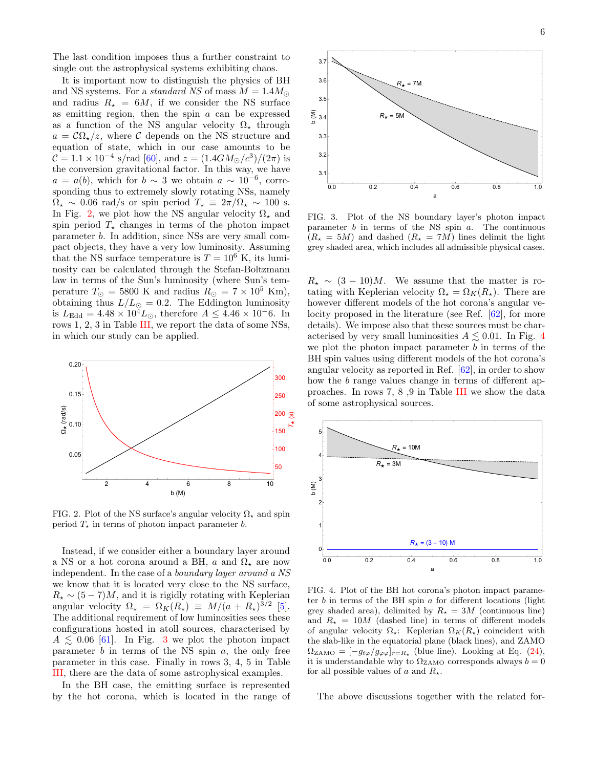The last condition imposes thus a further constraint to single out the astrophysical systems exhibiting chaos.

It is important now to distinguish the physics of BH and NS systems. For a *standard NS* of mass  $M = 1.4 M_{\odot}$ and radius  $R_{\star} = 6M$ , if we consider the NS surface as emitting region, then the spin  $a$  can be expressed as a function of the NS angular velocity  $\Omega_{\star}$  through  $a = \mathcal{C}\Omega_{\star}/z$ , where C depends on the NS structure and equation of state, which in our case amounts to be  $C = 1.1 \times 10^{-4}$  s/rad [\[60\]](#page-7-18), and  $z = (1.4GM_{\odot}/c^3)/(2\pi)$  is the conversion gravitational factor. In this way, we have  $a = a(b)$ , which for  $b \sim 3$  we obtain  $a \sim 10^{-6}$ , corresponding thus to extremely slowly rotating NSs, namely  $\Omega_{\star} \sim 0.06$  rad/s or spin period  $T_{\star} \equiv 2\pi/\Omega_{\star} \sim 100$  s. In Fig. [2,](#page-5-0) we plot how the NS angular velocity  $\Omega_{\star}$  and spin period  $T_{\star}$  changes in terms of the photon impact parameter b. In addition, since NSs are very small compact objects, they have a very low luminosity. Assuming that the NS surface temperature is  $T = 10^6$  K, its luminosity can be calculated through the Stefan-Boltzmann law in terms of the Sun's luminosity (where Sun's temperature  $T_{\odot} = 5800$  K and radius  $R_{\odot} = 7 \times 10^5$  Km), obtaining thus  $L/L_{\odot} = 0.2$ . The Eddington luminosity is  $L_{\text{Edd}} = 4.48 \times 10^4 L_{\odot}$ , therefore  $A \leq 4.46 \times 10^{-6}$ . In rows 1, 2, 3 in Table [III,](#page-10-0) we report the data of some NSs, in which our study can be applied.



<span id="page-5-0"></span>FIG. 2. Plot of the NS surface's angular velocity  $\Omega_{\star}$  and spin period  $T_{\star}$  in terms of photon impact parameter b.

Instead, if we consider either a boundary layer around a NS or a hot corona around a BH, a and  $\Omega_{\star}$  are now independent. In the case of a boundary layer around a NS we know that it is located very close to the NS surface,  $R_{\star} \sim (5-7)M$ , and it is rigidly rotating with Keplerian angular velocity  $\Omega_{\star} = \Omega_K(R_{\star}) \equiv M/(a + R_{\star})^{3/2}$  [\[5\]](#page-6-3). The additional requirement of low luminosities sees these configurations hosted in atoll sources, characterised by  $A \leq 0.06$  [\[61\]](#page-7-19). In Fig. [3](#page-5-1) we plot the photon impact parameter  $b$  in terms of the NS spin  $a$ , the only free parameter in this case. Finally in rows 3, 4, 5 in Table [III,](#page-10-0) there are the data of some astrophysical examples.

In the BH case, the emitting surface is represented by the hot corona, which is located in the range of



<span id="page-5-1"></span>FIG. 3. Plot of the NS boundary layer's photon impact parameter  $b$  in terms of the NS spin  $a$ . The continuous  $(R_{\star} = 5M)$  and dashed  $(R_{\star} = 7M)$  lines delimit the light grey shaded area, which includes all admissible physical cases.

 $R_{\star} \sim (3 - 10)M$ . We assume that the matter is rotating with Keplerian velocity  $\Omega_{\star} = \Omega_K(R_{\star})$ . There are however different models of the hot corona's angular velocity proposed in the literature (see Ref. [\[62\]](#page-7-20), for more details). We impose also that these sources must be characterised by very small luminosities  $A \lesssim 0.01$ . In Fig. [4](#page-5-2) we plot the photon impact parameter  $b$  in terms of the BH spin values using different models of the hot corona's angular velocity as reported in Ref. [\[62\]](#page-7-20), in order to show how the b range values change in terms of different approaches. In rows 7, 8 ,9 in Table [III](#page-10-0) we show the data of some astrophysical sources.



<span id="page-5-2"></span>FIG. 4. Plot of the BH hot corona's photon impact parameter  $b$  in terms of the BH spin  $a$  for different locations (light grey shaded area), delimited by  $R_{\star} = 3M$  (continuous line) and  $R_{\star} = 10M$  (dashed line) in terms of different models of angular velocity  $\Omega_{\star}$ : Keplerian  $\Omega_{K}(R_{\star})$  coincident with the slab-like in the equatorial plane (black lines), and ZAMO  $\Omega_{\text{ZAMO}} = [-g_{t\varphi}/g_{\varphi\varphi}]_{r=R_{\star}}$  (blue line). Looking at Eq. [\(24\)](#page-4-3), it is understandable why to  $\Omega_{\rm ZAMO}$  corresponds always  $b=0$ for all possible values of a and  $R_{\star}$ .

The above discussions together with the related for-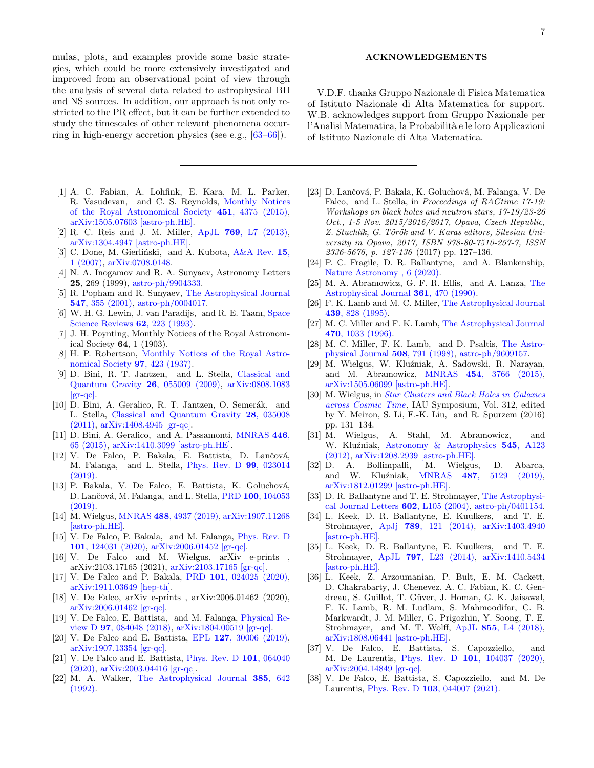mulas, plots, and examples provide some basic strategies, which could be more extensively investigated and improved from an observational point of view through the analysis of several data related to astrophysical BH and NS sources. In addition, our approach is not only restricted to the PR effect, but it can be further extended to study the timescales of other relevant phenomena occurring in high-energy accretion physics (see e.g., [\[63–](#page-7-21)[66\]](#page-7-22)).

- <span id="page-6-0"></span>[1] A. C. Fabian, A. Lohfink, E. Kara, M. L. Parker, R. Vasudevan, and C. S. Reynolds, [Monthly Notices](http://dx.doi.org/ 10.1093/mnras/stv1218) [of the Royal Astronomical Society](http://dx.doi.org/ 10.1093/mnras/stv1218) 451, 4375 (2015), [arXiv:1505.07603 \[astro-ph.HE\].](http://arxiv.org/abs/1505.07603)
- [2] R. C. Reis and J. M. Miller, ApJL 769[, L7 \(2013\),](http://dx.doi.org/10.1088/2041-8205/769/1/L7) [arXiv:1304.4947 \[astro-ph.HE\].](http://arxiv.org/abs/1304.4947)
- <span id="page-6-1"></span>[3] C. Done, M. Gierliński, and A. Kubota,  $A\&A$  Rev. 15, [1 \(2007\),](http://dx.doi.org/10.1007/s00159-007-0006-1) [arXiv:0708.0148.](http://arxiv.org/abs/0708.0148)
- <span id="page-6-2"></span>[4] N. A. Inogamov and R. A. Sunyaev, Astronomy Letters 25, 269 (1999), [astro-ph/9904333.](http://arxiv.org/abs/astro-ph/9904333)
- <span id="page-6-3"></span>[5] R. Popham and R. Sunyaev, [The Astrophysical Journal](http://dx.doi.org/10.1086/318336) 547[, 355 \(2001\),](http://dx.doi.org/10.1086/318336) [astro-ph/0004017.](http://arxiv.org/abs/astro-ph/0004017)
- <span id="page-6-4"></span>[6] W. H. G. Lewin, J. van Paradijs, and R. E. Taam, [Space](http://dx.doi.org/10.1007/BF00196124) [Science Reviews](http://dx.doi.org/10.1007/BF00196124) 62, 223 (1993).
- <span id="page-6-5"></span>[7] J. H. Poynting, Monthly Notices of the Royal Astronomical Society 64, 1 (1903).
- [8] H. P. Robertson, [Monthly Notices of the Royal Astro](http://dx.doi.org/10.1093/mnras/97.6.423)[nomical Society](http://dx.doi.org/10.1093/mnras/97.6.423) 97, 423 (1937).
- <span id="page-6-7"></span>[9] D. Bini, R. T. Jantzen, and L. Stella, [Classical and](http://dx.doi.org/10.1088/0264-9381/26/5/055009) [Quantum Gravity](http://dx.doi.org/10.1088/0264-9381/26/5/055009) 26, 055009 (2009), [arXiv:0808.1083](http://arxiv.org/abs/0808.1083)  $\left[\text{gr-qc}\right]$ .
- <span id="page-6-6"></span>[10] D. Bini, A. Geralico, R. T. Jantzen, O. Semerák, and L. Stella, [Classical and Quantum Gravity](http://dx.doi.org/ 10.1088/0264-9381/28/3/035008) 28, 035008 [\(2011\),](http://dx.doi.org/ 10.1088/0264-9381/28/3/035008) [arXiv:1408.4945 \[gr-qc\].](http://arxiv.org/abs/1408.4945)
- <span id="page-6-8"></span>[11] D. Bini, A. Geralico, and A. Passamonti, [MNRAS](http://dx.doi.org/10.1093/mnras/stu2082) 446, [65 \(2015\),](http://dx.doi.org/10.1093/mnras/stu2082) [arXiv:1410.3099 \[astro-ph.HE\].](http://arxiv.org/abs/1410.3099)
- <span id="page-6-9"></span>[12] V. De Falco, P. Bakala, E. Battista, D. Lančová, M. Falanga, and L. Stella, [Phys. Rev. D](http://dx.doi.org/ 10.1103/PhysRevD.99.023014) 99, 023014 [\(2019\).](http://dx.doi.org/ 10.1103/PhysRevD.99.023014)
- <span id="page-6-26"></span>[13] P. Bakala, V. De Falco, E. Battista, K. Goluchová, D. Lančová, M. Falanga, and L. Stella, PRD 100[, 104053](http://dx.doi.org/10.1103/PhysRevD.100.104053) [\(2019\).](http://dx.doi.org/10.1103/PhysRevD.100.104053)
- [14] M. Wielgus, MNRAS 488[, 4937 \(2019\),](http://dx.doi.org/10.1093/mnras/stz2079) [arXiv:1907.11268](http://arxiv.org/abs/1907.11268) [\[astro-ph.HE\].](http://arxiv.org/abs/1907.11268)
- [15] V. De Falco, P. Bakala, and M. Falanga, [Phys. Rev. D](http://dx.doi.org/10.1103/PhysRevD.101.124031) 101[, 124031 \(2020\),](http://dx.doi.org/10.1103/PhysRevD.101.124031) [arXiv:2006.01452 \[gr-qc\].](http://arxiv.org/abs/2006.01452)
- <span id="page-6-10"></span>[16] V. De Falco and M. Wielgus, arXiv e-prints arXiv:2103.17165 (2021), [arXiv:2103.17165 \[gr-qc\].](http://arxiv.org/abs/2103.17165)
- <span id="page-6-11"></span>[17] V. De Falco and P. Bakala, PRD 101[, 024025 \(2020\),](http://dx.doi.org/10.1103/PhysRevD.101.024025) [arXiv:1911.03649 \[hep-th\].](http://arxiv.org/abs/1911.03649)
- <span id="page-6-12"></span>[18] V. De Falco, arXiv e-prints , arXiv:2006.01462 (2020), [arXiv:2006.01462 \[gr-qc\].](http://arxiv.org/abs/2006.01462)
- [19] V. De Falco, E. Battista, and M. Falanga, [Physical Re](http://dx.doi.org/10.1103/PhysRevD.97.084048)view D 97[, 084048 \(2018\),](http://dx.doi.org/10.1103/PhysRevD.97.084048) [arXiv:1804.00519 \[gr-qc\].](http://arxiv.org/abs/1804.00519)
- [20] V. De Falco and E. Battista, EPL 127[, 30006 \(2019\),](http://dx.doi.org/10.1209/0295-5075/127/30006) [arXiv:1907.13354 \[gr-qc\].](http://arxiv.org/abs/1907.13354)
- <span id="page-6-13"></span>[21] V. De Falco and E. Battista, [Phys. Rev. D](http://dx.doi.org/10.1103/PhysRevD.101.064040) 101, 064040 [\(2020\),](http://dx.doi.org/10.1103/PhysRevD.101.064040) [arXiv:2003.04416 \[gr-qc\].](http://arxiv.org/abs/2003.04416)
- <span id="page-6-14"></span>[22] M. A. Walker, [The Astrophysical Journal](http://dx.doi.org/10.1086/170969) 385, 642 [\(1992\).](http://dx.doi.org/10.1086/170969)

### ACKNOWLEDGEMENTS

V.D.F. thanks Gruppo Nazionale di Fisica Matematica of Istituto Nazionale di Alta Matematica for support. W.B. acknowledges support from Gruppo Nazionale per l'Analisi Matematica, la Probabilità e le loro Applicazioni of Istituto Nazionale di Alta Matematica.

- [23] D. Lančová, P. Bakala, K. Goluchová, M. Falanga, V. De Falco, and L. Stella, in Proceedings of RAGtime 17-19: Workshops on black holes and neutron stars, 17-19/23-26 Oct., 1-5 Nov. 2015/2016/2017, Opava, Czech Republic, Z. Stuchlík, G. Török and V. Karas editors, Silesian University in Opava, 2017, ISBN 978-80-7510-257-7, ISSN 2336-5676, p. 127-136 (2017) pp. 127–136.
- <span id="page-6-15"></span>[24] P. C. Fragile, D. R. Ballantyne, and A. Blankenship, [Nature Astronomy , 6 \(2020\).](http://dx.doi.org/10.1038/s41550-019-0987-5)
- <span id="page-6-16"></span>[25] M. A. Abramowicz, G. F. R. Ellis, and A. Lanza, [The](http://dx.doi.org/10.1086/169211) [Astrophysical Journal](http://dx.doi.org/10.1086/169211) 361, 470 (1990).
- [26] F. K. Lamb and M. C. Miller, [The Astrophysical Journal](http://dx.doi.org/10.1086/175221) 439[, 828 \(1995\).](http://dx.doi.org/10.1086/175221)
- [27] M. C. Miller and F. K. Lamb, [The Astrophysical Journal](http://dx.doi.org/10.1086/177929) 470[, 1033 \(1996\).](http://dx.doi.org/10.1086/177929)
- <span id="page-6-17"></span>[28] M. C. Miller, F. K. Lamb, and D. Psaltis, [The Astro](http://dx.doi.org/10.1086/306408)[physical Journal](http://dx.doi.org/10.1086/306408) 508, 791 (1998), [astro-ph/9609157.](http://arxiv.org/abs/astro-ph/9609157)
- <span id="page-6-18"></span>[29] M. Wielgus, W. Kluźniak, A. Sadowski, R. Narayan, and M. Abramowicz, MNRAS 454[, 3766 \(2015\),](http://dx.doi.org/10.1093/mnras/stv2191) [arXiv:1505.06099 \[astro-ph.HE\].](http://arxiv.org/abs/1505.06099)
- <span id="page-6-19"></span>[30] M. Wielgus, in [Star Clusters and Black Holes in Galaxies](http://dx.doi.org/10.1017/S1743921315007693) [across Cosmic Time](http://dx.doi.org/10.1017/S1743921315007693), IAU Symposium, Vol. 312, edited by Y. Meiron, S. Li, F.-K. Liu, and R. Spurzem (2016) pp. 131–134.
- <span id="page-6-20"></span>[31] M. Wielgus, A. Stahl, M. Abramowicz, and W. Kluźniak, [Astronomy & Astrophysics](http://dx.doi.org/10.1051/0004-6361/201220228) 545, A123 [\(2012\),](http://dx.doi.org/10.1051/0004-6361/201220228) [arXiv:1208.2939 \[astro-ph.HE\].](http://arxiv.org/abs/1208.2939)
- <span id="page-6-21"></span>[32] D. A. Bollimpalli, M. Wielgus, D. Abarca, and W. Kluźniak, MNRAS 487[, 5129 \(2019\),](http://dx.doi.org/10.1093/mnras/stz1597) [arXiv:1812.01299 \[astro-ph.HE\].](http://arxiv.org/abs/1812.01299)
- <span id="page-6-22"></span>[33] D. R. Ballantyne and T. E. Strohmayer, [The Astrophysi](http://dx.doi.org/10.1086/382703)[cal Journal Letters](http://dx.doi.org/10.1086/382703) 602, L105 (2004), [astro-ph/0401154.](http://arxiv.org/abs/astro-ph/0401154)
- [34] L. Keek, D. R. Ballantyne, E. Kuulkers, and T. E. Strohmayer, ApJj 789[, 121 \(2014\),](http://dx.doi.org/10.1088/0004-637X/789/2/121) [arXiv:1403.4940](http://arxiv.org/abs/1403.4940) [\[astro-ph.HE\].](http://arxiv.org/abs/1403.4940)
- [35] L. Keek, D. R. Ballantyne, E. Kuulkers, and T. E. Strohmayer, ApJL 797[, L23 \(2014\),](http://dx.doi.org/10.1088/2041-8205/797/2/L23) [arXiv:1410.5434](http://arxiv.org/abs/1410.5434) [\[astro-ph.HE\].](http://arxiv.org/abs/1410.5434)
- <span id="page-6-23"></span>[36] L. Keek, Z. Arzoumanian, P. Bult, E. M. Cackett, D. Chakrabarty, J. Chenevez, A. C. Fabian, K. C. Gendreau, S. Guillot, T. Güver, J. Homan, G. K. Jaisawal, F. K. Lamb, R. M. Ludlam, S. Mahmoodifar, C. B. Markwardt, J. M. Miller, G. Prigozhin, Y. Soong, T. E. Strohmayer, and M. T. Wolff, ApJL 855[, L4 \(2018\),](http://dx.doi.org/10.3847/2041-8213/aab104) [arXiv:1808.06441 \[astro-ph.HE\].](http://arxiv.org/abs/1808.06441)
- <span id="page-6-24"></span>[37] V. De Falco, E. Battista, S. Capozziello, and M. De Laurentis, Phys. Rev. D 101[, 104037 \(2020\),](http://dx.doi.org/10.1103/PhysRevD.101.104037) [arXiv:2004.14849 \[gr-qc\].](http://arxiv.org/abs/2004.14849)
- <span id="page-6-25"></span>[38] V. De Falco, E. Battista, S. Capozziello, and M. De Laurentis, Phys. Rev. D 103[, 044007 \(2021\).](http://dx.doi.org/10.1103/PhysRevD.103.044007)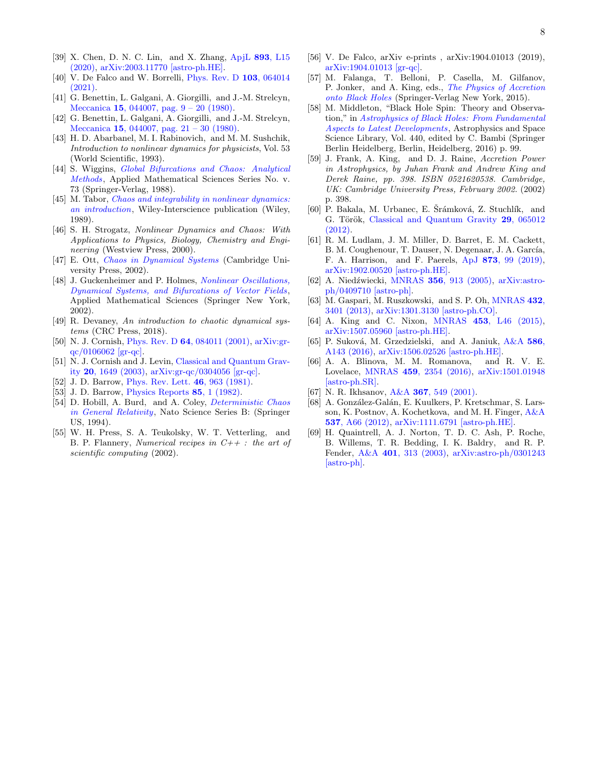- <span id="page-7-0"></span>[39] X. Chen, D. N. C. Lin, and X. Zhang, [ApjL](http://dx.doi.org/10.3847/2041-8213/ab8384) 893, L15 [\(2020\),](http://dx.doi.org/10.3847/2041-8213/ab8384) [arXiv:2003.11770 \[astro-ph.HE\].](http://arxiv.org/abs/2003.11770)
- <span id="page-7-1"></span>[40] V. De Falco and W. Borrelli, *[Phys. Rev. D](http://dx.doi.org/10.1103/PhysRevD.103.064014)* **103**, 064014 [\(2021\).](http://dx.doi.org/10.1103/PhysRevD.103.064014)
- <span id="page-7-2"></span>[41] G. Benettin, L. Galgani, A. Giorgilli, and J.-M. Strelcyn, Meccanica 15[, 044007, pag. 9 – 20 \(1980\).](http://dx.doi.org/https://doi.org/10.1007/BF02128236)
- <span id="page-7-3"></span>[42] G. Benettin, L. Galgani, A. Giorgilli, and J.-M. Strelcyn, Meccanica 15[, 044007, pag. 21 – 30 \(1980\).](http://dx.doi.org/https://doi.org/10.1007/BF02128237)
- <span id="page-7-4"></span>[43] H. D. Abarbanel, M. I. Rabinovich, and M. M. Sushchik, Introduction to nonlinear dynamics for physicists, Vol. 53 (World Scientific, 1993).
- <span id="page-7-5"></span>[44] S. Wiggins, *[Global Bifurcations and Chaos: Analytical](https://books.google.it/books?id=fO5QAAAAMAAJ)* [Methods](https://books.google.it/books?id=fO5QAAAAMAAJ), Applied Mathematical Sciences Series No. v. 73 (Springer-Verlag, 1988).
- [45] M. Tabor, *[Chaos and integrability in nonlinear dynamics:](https://books.google.it/books?id=5FfvAAAAMAAJ)* [an introduction](https://books.google.it/books?id=5FfvAAAAMAAJ), Wiley-Interscience publication (Wiley, 1989).
- <span id="page-7-8"></span>[46] S. H. Strogatz, Nonlinear Dynamics and Chaos: With Applications to Physics, Biology, Chemistry and Engineering (Westview Press, 2000).
- [47] E. Ott, [Chaos in Dynamical Systems](https://books.google.it/books?id=nOLx--zzHSgC) (Cambridge University Press, 2002).
- <span id="page-7-6"></span>[48] J. Guckenheimer and P. Holmes, *Nonlinear Oscillations*, [Dynamical Systems, and Bifurcations of Vector Fields](https://books.google.it/books?id=cumGDmhaFnkC), Applied Mathematical Sciences (Springer New York, 2002).
- <span id="page-7-12"></span>[49] R. Devaney, An introduction to chaotic dynamical systems (CRC Press, 2018).
- <span id="page-7-7"></span>[50] N. J. Cornish, Phys. Rev. D 64[, 084011 \(2001\),](http://dx.doi.org/10.1103/PhysRevD.64.084011) [arXiv:gr](http://arxiv.org/abs/gr-qc/0106062)[qc/0106062 \[gr-qc\].](http://arxiv.org/abs/gr-qc/0106062)
- <span id="page-7-9"></span>[51] N. J. Cornish and J. Levin, [Classical and Quantum Grav](http://dx.doi.org/10.1088/0264-9381/20/9/304)ity 20[, 1649 \(2003\),](http://dx.doi.org/10.1088/0264-9381/20/9/304) [arXiv:gr-qc/0304056 \[gr-qc\].](http://arxiv.org/abs/gr-qc/0304056)
- <span id="page-7-10"></span>[52] J. D. Barrow, [Phys. Rev. Lett.](http://dx.doi.org/10.1103/PhysRevLett.46.963) **46**, 963 (1981).
- [53] J. D. Barrow, [Physics Reports](http://dx.doi.org/10.1016/0370-1573(82)90171-5) **85**, 1 (1982).
- <span id="page-7-11"></span>[54] D. Hobill, A. Burd, and A. Coley, *[Deterministic Chaos](https://books.google.it/books?id=LUgsAAAAYAAJ)* [in General Relativity](https://books.google.it/books?id=LUgsAAAAYAAJ), Nato Science Series B: (Springer US, 1994).
- <span id="page-7-13"></span>[55] W. H. Press, S. A. Teukolsky, W. T. Vetterling, and B. P. Flannery, *Numerical recipes in*  $C++$ : the art of scientific computing (2002).
- <span id="page-7-14"></span>[56] V. De Falco, arXiv e-prints , arXiv:1904.01013 (2019), [arXiv:1904.01013 \[gr-qc\].](http://arxiv.org/abs/1904.01013)
- <span id="page-7-15"></span>[57] M. Falanga, T. Belloni, P. Casella, M. Gilfanov, P. Jonker, and A. King, eds., [The Physics of Accretion](http://dx.doi.org/ 10.1007/978-1-4939-2227-7) [onto Black Holes](http://dx.doi.org/ 10.1007/978-1-4939-2227-7) (Springer-Verlag New York, 2015).
- <span id="page-7-16"></span>[58] M. Middleton, "Black Hole Spin: Theory and Observation," in [Astrophysics of Black Holes: From Fundamental](http://dx.doi.org/10.1007/978-3-662-52859-4_3) [Aspects to Latest Developments](http://dx.doi.org/10.1007/978-3-662-52859-4_3), Astrophysics and Space Science Library, Vol. 440, edited by C. Bambi (Springer Berlin Heidelberg, Berlin, Heidelberg, 2016) p. 99.
- <span id="page-7-17"></span>[59] J. Frank, A. King, and D. J. Raine, Accretion Power in Astrophysics, by Juhan Frank and Andrew King and Derek Raine, pp. 398. ISBN 0521620538. Cambridge, UK: Cambridge University Press, February 2002. (2002) p. 398.
- <span id="page-7-18"></span>[60] P. Bakala, M. Urbanec, E. Šrámková, Z. Stuchlík, and G. Török, [Classical and Quantum Gravity](http://dx.doi.org/ 10.1088/0264-9381/29/6/065012) 29, 065012 [\(2012\).](http://dx.doi.org/ 10.1088/0264-9381/29/6/065012)
- <span id="page-7-19"></span>[61] R. M. Ludlam, J. M. Miller, D. Barret, E. M. Cackett, B. M. Coughenour, T. Dauser, N. Degenaar, J. A. García, F. A. Harrison, and F. Paerels, ApJ 873[, 99 \(2019\),](http://dx.doi.org/ 10.3847/1538-4357/ab0414) [arXiv:1902.00520 \[astro-ph.HE\].](http://arxiv.org/abs/1902.00520)
- <span id="page-7-20"></span>[62] A. Niedźwiecki, MNRAS 356[, 913 \(2005\),](http://dx.doi.org/10.1111/j.1365-2966.2004.08557.x) [arXiv:astro](http://arxiv.org/abs/astro-ph/0409710)[ph/0409710 \[astro-ph\].](http://arxiv.org/abs/astro-ph/0409710)
- <span id="page-7-21"></span>[63] M. Gaspari, M. Ruszkowski, and S. P. Oh, [MNRAS](http://dx.doi.org/10.1093/mnras/stt692) 432, [3401 \(2013\),](http://dx.doi.org/10.1093/mnras/stt692) [arXiv:1301.3130 \[astro-ph.CO\].](http://arxiv.org/abs/1301.3130)
- [64] A. King and C. Nixon, MNRAS 453[, L46 \(2015\),](http://dx.doi.org/10.1093/mnrasl/slv098) [arXiv:1507.05960 \[astro-ph.HE\].](http://arxiv.org/abs/1507.05960)
- [65] P. Suková, M. Grzedzielski, and A. Janiuk, [A&A](http://dx.doi.org/10.1051/0004-6361/201526692) 586, [A143 \(2016\),](http://dx.doi.org/10.1051/0004-6361/201526692) [arXiv:1506.02526 \[astro-ph.HE\].](http://arxiv.org/abs/1506.02526)
- <span id="page-7-22"></span>[66] A. A. Blinova, M. M. Romanova, and R. V. E. Lovelace, MNRAS 459[, 2354 \(2016\),](http://dx.doi.org/10.1093/mnras/stw786) [arXiv:1501.01948](http://arxiv.org/abs/1501.01948) [\[astro-ph.SR\].](http://arxiv.org/abs/1501.01948)
- <span id="page-7-23"></span>[67] N. R. Ikhsanov, A&A **367**[, 549 \(2001\).](http://dx.doi.org/10.1051/0004-6361:20000464)
- <span id="page-7-24"></span>[68] A. González-Galán, E. Kuulkers, P. Kretschmar, S. Larsson, K. Postnov, A. Kochetkova, and M. H. Finger, [A&A](http://dx.doi.org/ 10.1051/0004-6361/201117893) 537[, A66 \(2012\),](http://dx.doi.org/ 10.1051/0004-6361/201117893) [arXiv:1111.6791 \[astro-ph.HE\].](http://arxiv.org/abs/1111.6791)
- <span id="page-7-25"></span>[69] H. Quaintrell, A. J. Norton, T. D. C. Ash, P. Roche, B. Willems, T. R. Bedding, I. K. Baldry, and R. P. Fender, A&A 401[, 313 \(2003\),](http://dx.doi.org/ 10.1051/0004-6361:20030120) [arXiv:astro-ph/0301243](http://arxiv.org/abs/astro-ph/0301243) [\[astro-ph\].](http://arxiv.org/abs/astro-ph/0301243)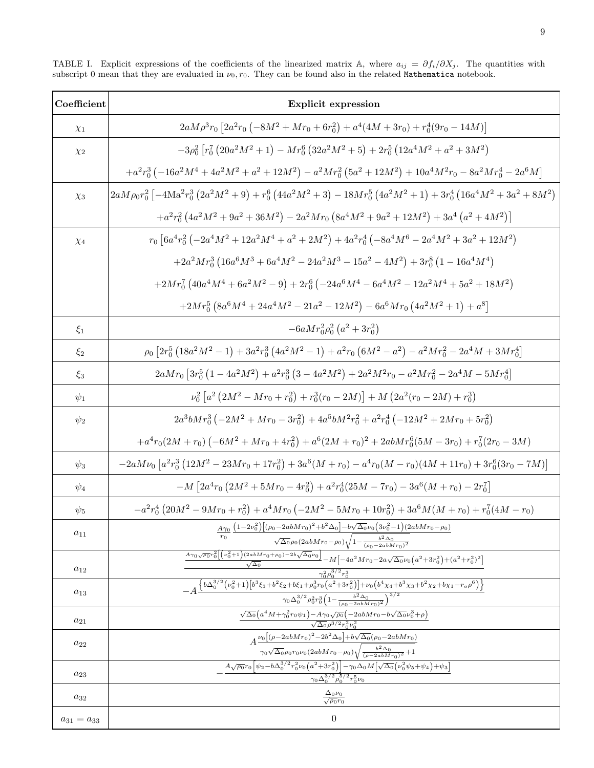| Coefficient       | <b>Explicit expression</b>                                                                                                                                                                                                                                                                                                                                                              |
|-------------------|-----------------------------------------------------------------------------------------------------------------------------------------------------------------------------------------------------------------------------------------------------------------------------------------------------------------------------------------------------------------------------------------|
| $\chi_1$          | $2aM\rho^3r_0\left[2a^2r_0\left(-8M^2+Mr_0+6r_0^2\right)+a^4(4M+3r_0)+r_0^4(9r_0-14M)\right]$                                                                                                                                                                                                                                                                                           |
| $\chi_2$          | $-3\rho_0^2 \left[ r_0^7 \left( 20a^2M^2 + 1 \right) - M r_0^6 \left( 32a^2M^2 + 5 \right) + 2r_0^5 \left( 12a^4M^2 + a^2 + 3M^2 \right) \right]$                                                                                                                                                                                                                                       |
|                   | $+a^2r_0^3\left(-16a^2M^4+4a^2M^2+a^2+12M^2\right)-a^2Mr_0^2\left(5a^2+12M^2\right)+10a^4M^2r_0-8a^2Mr_0^4-2a^6M$                                                                                                                                                                                                                                                                       |
| $\chi_3$          | $2aM\rho_0r_0^2\left[-4\mathrm{Ma}^2r_0^3\left(2a^2M^2+9\right)+r_0^6\left(44a^2M^2+3\right)-18Mr_0^5\left(4a^2M^2+1\right)+3r_0^4\left(16a^4M^2+3a^2+8M^2\right)\right]$                                                                                                                                                                                                               |
|                   | $+a^2r_0^2\left(4a^2M^2+9a^2+36M^2\right)-2a^2Mr_0\left(8a^4M^2+9a^2+12M^2\right)+3a^4\left(a^2+4M^2\right)\right]$                                                                                                                                                                                                                                                                     |
| $\chi_4$          | $r_0 \left[ 6a^4r_0^2 \left( -2a^4M^2 + 12a^2M^4 + a^2 + 2M^2 \right) + 4a^2r_0^4 \left( -8a^4M^6 - 2a^4M^2 + 3a^2 + 12M^2 \right) \right]$                                                                                                                                                                                                                                             |
|                   | $+2a^2Mr_0^3\left(16a^6M^3+6a^4M^2-24a^2M^3-15a^2-4M^2\right)+3r_0^8\left(1-16a^4M^4\right)$                                                                                                                                                                                                                                                                                            |
|                   | $+2Mr_0^7(40a^4M^4+6a^2M^2-9)+2r_0^6(-24a^6M^4-6a^4M^2-12a^2M^4+5a^2+18M^2)$                                                                                                                                                                                                                                                                                                            |
|                   | $+2Mr_0^5\left(8a^6M^4+24a^4M^2-21a^2-12M^2\right)-6a^6Mr_0\left(4a^2M^2+1\right)+a^8\right]$                                                                                                                                                                                                                                                                                           |
| $\xi_1$           | $-6aMr_0^2\rho_0^2(a^2+3r_0^2)$                                                                                                                                                                                                                                                                                                                                                         |
| $\xi_2$           | $\rho_0 \left[ 2r_0^5 \left( 18 a^2 M^2 - 1 \right) + 3 a^2 r_0^3 \left( 4 a^2 M^2 - 1 \right) + a^2 r_0 \left( 6 M^2 - a^2 \right) - a^2 M r_0^2 - 2 a^4 M + 3 M r_0^4 \right]$                                                                                                                                                                                                        |
| $\xi_3$           | $2 a M r_0 \left[3 r_0^5 \left(1-4 a^2 M^2\right)+a^2 r_0^3 \left(3-4 a^2 M^2\right)+2 a^2 M^2 r_0-a^2 M r_0^2-2 a^4 M-5 M r_0^4\right]$                                                                                                                                                                                                                                                |
| $\psi_1$          | $\nu_0^2 \left[ a^2 \left( 2M^2 - Mr_0 + r_0^2 \right) + r_0^3 (r_0 - 2M) \right] + M \left( 2a^2 (r_0 - 2M) + r_0^3 \right)$                                                                                                                                                                                                                                                           |
| $\psi_2$          | $2a^3bMr_0^3\left(-2M^2+Mr_0-3r_0^2\right)+4a^5bM^2r_0^2+a^2r_0^4\left(-12M^2+2Mr_0+5r_0^2\right)$                                                                                                                                                                                                                                                                                      |
|                   | $+a^4r_0(2M+r_0)\left(-6M^2+Mr_0+4r_0^2\right)+a^6(2M+r_0)^2+2abMr_0^6(5M-3r_0)+r_0^7(2r_0-3M)$                                                                                                                                                                                                                                                                                         |
| $\psi_3$          | $-2 a M \nu_0 \left[ a^2 r_0^3 \left( 12 M^2 - 23 M r_0 + 17 r_0^2 \right) + 3 a^6 (M + r_0) - a^4 r_0 (M - r_0) (4 M + 11 r_0) + 3 r_0^6 (3 r_0 - 7 M) \right]$                                                                                                                                                                                                                        |
| $\psi_4$          | $-M\left[2a^4r_0\left(2M^2+5Mr_0-4r_0^2\right)+a^2r_0^4(25M-7r_0)-3a^6(M+r_0)-2r_0^7\right]$                                                                                                                                                                                                                                                                                            |
| $\psi_5$          | $-a^2r_0^4\left(20M^2-9Mr_0+r_0^2\right)+a^4Mr_0\left(-2M^2-5Mr_0+10r_0^2\right)+3a^6M(M+r_0)+r_0^7(4M-r_0)$                                                                                                                                                                                                                                                                            |
| $a_{11}$          | $\frac{A\gamma_0}{r_0}\frac{\left(1-2\nu_0^2\right)\left[(\rho_0-2abMr_0)^2+b^2\Delta_0\right]-b\sqrt{\Delta_0}\nu_0\left(3\nu_0^2-1\right)\left(2abMr_0-\rho_0\right)}{\sqrt{\Delta_0}\rho_0(2abMr_0-\rho_0)\sqrt{1-\frac{b^2\Delta_0}{(\rho_0-2abMr_0)^2}}}$                                                                                                                          |
|                   | $\frac{A_{\gamma_0\sqrt{\rho_0}r_0^2} \left[\left(\nu_0^2+1\right)(2abMr_0+\rho_0)-2b\sqrt{\Delta_0}\nu_0\right]} {\sqrt{\wedge\wedge}}-M\left[-4a^2Mr_0-2a\sqrt{\Delta_0}\nu_0\left(a^2+3r_0^2\right)+(a^2+r_0^2)^2\right]}$                                                                                                                                                           |
| $a_{12}$          |                                                                                                                                                                                                                                                                                                                                                                                         |
| $a_{13}$          | $\frac{\frac{\gamma_0^2 \rho_0^{3/2} r_0^3}{r_0^2 \rho_0^{3/2} r_0^3}}{-A\frac{\left\{b \Delta_0^{3/2} \left(\nu_0^2+1\right) \left[b^3 \xi_3+b^2 \xi_2+b \xi_1+\rho_0^3 r_0 \left(a^2+3 r_0^2\right)\right]+\nu_0 \left(b^4 \chi_4+b^3 \chi_3+b^2 \chi_2+b \chi_1-r_0 \rho^6\right)\right\}}{\gamma_0 \Delta_0^{3/2} \rho_0^2 r_0^3 \left(1-\frac{b^2 \Delta_0}{(\rho_0-2 a b M r_0)^$ |
| $a_{21}$          | $\frac{\sqrt{\Delta_0}\left(a^4M+\gamma_0^2r_0\psi_1\right)-A\gamma_0\sqrt{\rho_0}\left(-2abMr_0-b\sqrt{\Delta_0}\nu_0^3+\rho\right)}{\sqrt{\Delta_0}\rho^{3/2}r_0^2\nu_0^2}$                                                                                                                                                                                                           |
| $a_{22}$          | $A \frac{\nu_{0} \left[(\rho -2 a b M r_{0})^{2}-2 b^{2} \Delta_{0}\right]+b \sqrt{\Delta_{0}} \left(\rho_{0}-2 a b M r_{0}\right)}{\gamma_{0} \sqrt{\Delta_{0}} \rho_{0} r_{0} \nu_{0} (2 a b M r_{0}-\rho_{0}) \sqrt{\frac{b^{2} \Delta_{0}}{\left(\rho -2 a b M r_{0}\right)^{2}}+1}}$                                                                                               |
| $a_{23}$          | $\left. A \sqrt{\rho_0} r_0 \left[ \psi_2 - b \Delta_0^{3/2} r_0^2 \nu_0 \left(a^2+3 r_0^2 \right) \right] - \gamma_0 \Delta_0 M \Big[ \sqrt{\Delta_0} \Big( \nu_0^2 \psi_5 + \psi_4 \Big) + \psi_3 \Big]$                                                                                                                                                                              |
| $a_{32}$          | $\sqrt{20^{3/2} \rho_0^{5/2} r_0^5 \nu_0}$<br>$\frac{\Delta_0 \nu_0}{\sqrt{\rho_0} r_0}$                                                                                                                                                                                                                                                                                                |
| $a_{31} = a_{33}$ | $\theta$                                                                                                                                                                                                                                                                                                                                                                                |

<span id="page-8-0"></span>TABLE I. Explicit expressions of the coefficients of the linearized matrix A, where  $a_{ij} = \partial f_i/\partial X_j$ . The quantities with subscript 0 mean that they are evaluated in  $\nu_0, r_0$ . They can be found also in the related Mathematica notebook.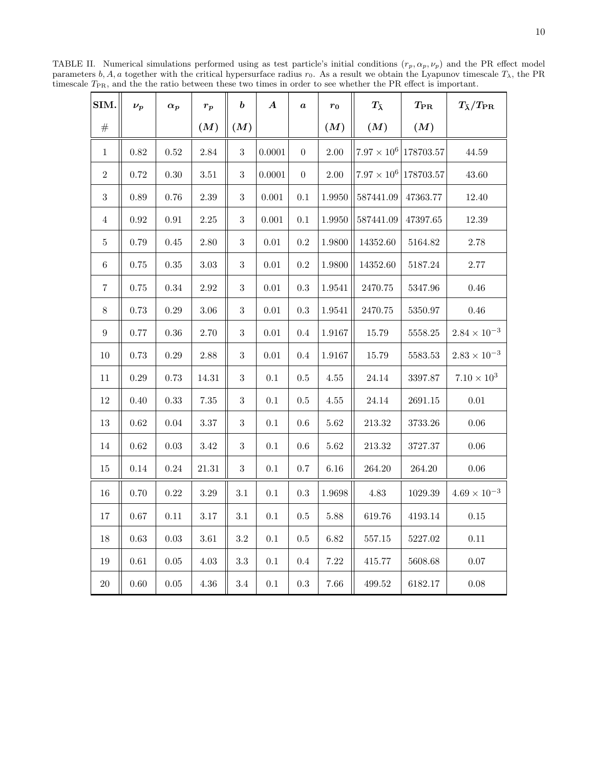<span id="page-9-0"></span>SIM. ν<sup>p</sup> α<sup>p</sup> r<sup>p</sup> b A a r<sup>0</sup> Tλ¯ TPR Tλ¯/TPR  $\# \parallel$   $\vert$   $\vert$   $(M) \Vert (M) \vert$   $\vert$   $\vert$   $(M) \Vert$   $(M) \vert$   $(M)$  $1 \parallel 0.82 \parallel 0.52 \parallel 2.84 \parallel 3 \parallel 0.0001 \parallel 0 \parallel 2.00 \parallel 7.97 \times 10^6 \parallel 178703.57 \parallel 44.59$ 2 | 0.72 | 0.30 | 3.51 | 3 | 0.0001 | 0 | 2.00 | | 7.97  $\times$  10<sup>6</sup> | 178703.57 | 43.60  $3 \parallel 0.89 \parallel 0.76 \parallel 2.39 \parallel 3 \parallel 0.001 \parallel 0.1 \parallel 1.9950 \parallel 587441.09 \parallel 47363.77 \parallel 12.40$  $4 \parallel 0.92 \parallel 0.91 \parallel 2.25 \parallel 3 \parallel 0.001 \parallel 0.1 \parallel 1.9950 \parallel 587441.09 \parallel 47397.65 \parallel 12.39$  $5 \parallel 0.79 \parallel 0.45 \parallel 2.80 \parallel 3 \parallel 0.01 \parallel 0.2 \parallel 1.9800 \parallel 14352.60 \parallel 5164.82 \parallel 2.78$ 6  $\parallel$  0.75  $\parallel$  0.35  $\parallel$  3.03  $\parallel$  3  $\parallel$  0.01  $\parallel$  0.2  $\parallel$  1.9800  $\parallel$  14352.60  $\parallel$  5187.24  $\parallel$  2.77  $7 \parallel 0.75 \parallel 0.34 \parallel 2.92 \parallel 3 \parallel 0.01 \parallel 0.3 \parallel 1.9541 \parallel 2470.75 \parallel 5347.96 \parallel 0.46$  $8$   $\parallel$   $0.73$   $\parallel$   $0.29$   $\parallel$   $3.06$   $\parallel$   $\parallel$   $\parallel$   $0.01$   $\parallel$   $0.3$   $\parallel$   $1.9541$   $\parallel$   $2470.75$   $\parallel$   $5350.97$   $\parallel$   $\parallel$   $0.46$ 9 || 0.77 | 0.36 | 2.70 || 3 | 0.01 | 0.4 | 1.9167 || 15.79 | 5558.25 |  $2.84 \times 10^{-3}$  $10 \parallel 0.73 \parallel 0.29 \parallel 2.88 \parallel 3 \parallel 0.01 \parallel 0.4 \parallel 1.9167 \parallel 15.79 \parallel 5583.53 \parallel 2.83 \times 10^{-3}$ 11 || 0.29 | 0.73 | 14.31 || 3 | 0.1 | 0.5 | 4.55 || 24.14 | 3397.87 | 7.10  $\times$  10<sup>3</sup>  $12 \parallel 0.40 \parallel 0.33 \parallel 7.35 \parallel 3 \parallel 0.1 \parallel 0.5 \parallel 4.55 \parallel 24.14 \parallel 2691.15 \parallel 0.01$ 13 0.62 0.04 3.37 3 0.1 0.6 5.62 213.32 3733.26 0.06 14 0.62 0.03 3.42 3 0.1 0.6 5.62 213.32 3727.37 0.06  $15 \parallel 0.14 \parallel 0.24 \parallel 21.31 \parallel 3 \parallel 0.1 \parallel 0.7 \parallel 6.16 \parallel 264.20 \parallel 264.20 \parallel 0.06$ 16 || 0.70 | 0.22 | 3.29 || 3.1 | 0.1 | 0.3 | 1.9698 || 4.83 | 1029.39 | 4.69 × 10<sup>-3</sup> 17 0.67 0.11 3.17 3.1 0.1 0.5 5.88 619.76 4193.14 0.15 18 0.63 0.03 3.61 3.2 0.1 0.5 6.82 557.15 5227.02 0.11  $19 \parallel 0.61 \parallel 0.05 \parallel 4.03 \parallel 3.3 \parallel 0.1 \parallel 0.4 \parallel 7.22 \parallel 415.77 \parallel 5608.68 \parallel 0.07$  $20 \parallel 0.60 \mid 0.05 \parallel 4.36 \parallel 3.4 \mid 0.1 \mid 0.3 \mid 7.66 \parallel 499.52 \mid 6182.17 \mid 0.08$ 

TABLE II. Numerical simulations performed using as test particle's initial conditions  $(r_p, \alpha_p, \nu_p)$  and the PR effect model parameters b, A, a together with the critical hypersurface radius  $r_0$ . As a result we obtain the Lyapunov timescale  $T_\lambda$ , the PR timescale  $T_{\text{PR}}$ , and the the ratio between these two times in order to see whether the PR effect is important.